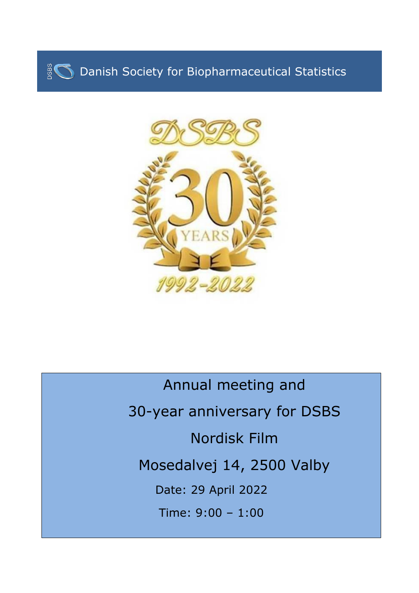



Annual meeting and 30-year anniversary for DSBS Nordisk Film Mosedalvej 14, 2500 Valby Date: 29 April 2022 Time: 9:00 – 1:00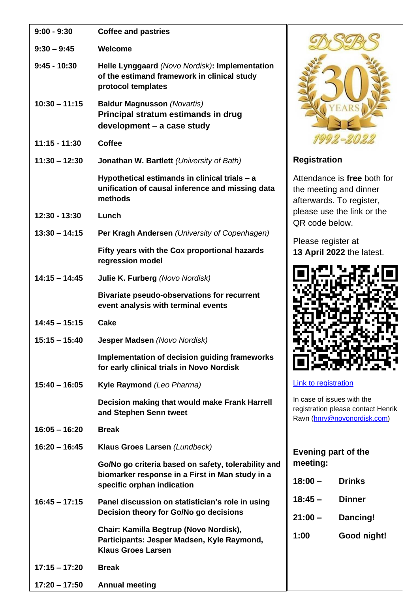| $9:00 - 9:30$   | <b>Coffee and pastries</b>                                                                                                           |                         |
|-----------------|--------------------------------------------------------------------------------------------------------------------------------------|-------------------------|
| $9:30 - 9:45$   | Welcome                                                                                                                              |                         |
| $9:45 - 10:30$  | Helle Lynggaard (Novo Nordisk): Implementation<br>of the estimand framework in clinical study<br>protocol templates                  |                         |
| $10:30 - 11:15$ | <b>Baldur Magnusson (Novartis)</b><br>Principal stratum estimands in drug<br>development - a case study                              |                         |
| $11:15 - 11:30$ | <b>Coffee</b>                                                                                                                        |                         |
| $11:30 - 12:30$ | Jonathan W. Bartlett (University of Bath)                                                                                            | Reg                     |
|                 | Hypothetical estimands in clinical trials - a<br>unification of causal inference and missing data<br>methods                         | Atte<br>the<br>afte     |
| 12:30 - 13:30   | Lunch                                                                                                                                | plea<br>QR              |
| $13:30 - 14:15$ | Per Kragh Andersen (University of Copenhagen)                                                                                        |                         |
|                 | Fifty years with the Cox proportional hazards<br>regression model                                                                    | Plea<br>13 <sub>l</sub> |
| $14:15 - 14:45$ | Julie K. Furberg (Novo Nordisk)                                                                                                      |                         |
|                 | <b>Bivariate pseudo-observations for recurrent</b><br>event analysis with terminal events                                            |                         |
| $14:45 - 15:15$ | <b>Cake</b>                                                                                                                          |                         |
| $15:15 - 15:40$ | Jesper Madsen (Novo Nordisk)                                                                                                         |                         |
|                 | Implementation of decision guiding frameworks<br>for early clinical trials in Novo Nordisk                                           | $\blacksquare$          |
| $15:40 - 16:05$ | Kyle Raymond (Leo Pharma)                                                                                                            | <u>Link</u>             |
|                 | Decision making that would make Frank Harrell<br>and Stephen Senn tweet                                                              | In ca<br>regis<br>Ravi  |
| $16:05 - 16:20$ | <b>Break</b>                                                                                                                         |                         |
| $16:20 - 16:45$ | Klaus Groes Larsen (Lundbeck)                                                                                                        | <b>Eve</b>              |
|                 | Go/No go criteria based on safety, tolerability and<br>biomarker response in a First in Man study in a<br>specific orphan indication | me<br>18:1              |
| $16:45 - 17:15$ | Panel discussion on statistician's role in using<br>Decision theory for Go/No go decisions                                           | 18:<br>21:              |
|                 | Chair: Kamilla Begtrup (Novo Nordisk),<br>Participants: Jesper Madsen, Kyle Raymond,<br><b>Klaus Groes Larsen</b>                    | 1:00                    |
| $17:15 - 17:20$ | <b>Break</b>                                                                                                                         |                         |
| $17:20 - 17:50$ | <b>Annual meeting</b>                                                                                                                |                         |



## **Registration**

endance is free both for meeting and dinner erwards. To register, ase use the link or the code below.

ase register at **13 April 2022** the latest.



## to registration

ase of issues with the stration please contact Henrik n [\(hnrv@novonordisk.com\)](mailto:hnrv@novonordisk.com)

| nd | Evening part of the<br>meeting: |               |  |
|----|---------------------------------|---------------|--|
|    | $18:00 -$                       | <b>Drinks</b> |  |
|    | $18:45 -$                       | Dinner        |  |
|    | $21:00 -$                       | Dancing!      |  |
|    | 1:00                            | Good night!   |  |
|    |                                 |               |  |
|    |                                 |               |  |